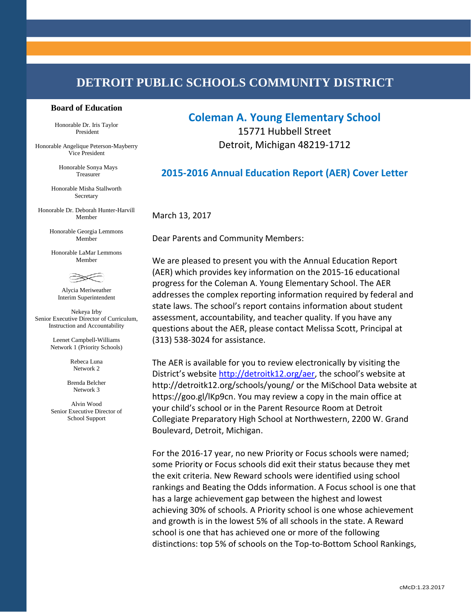# **DETROIT PUBLIC SCHOOLS COMMUNITY DISTRICT**

#### **Board of Education**

Honorable Dr. Iris Taylor President

Honorable Angelique Peterson-Mayberry Vice President

> Honorable Sonya Mays Treasurer

Honorable Misha Stallworth Secretary

Honorable Dr. Deborah Hunter-Harvill Member

> Honorable Georgia Lemmons Member

Honorable LaMar Lemmons Member



Alycia Meriweather Interim Superintendent

Nekeya Irby Senior Executive Director of Curriculum, Instruction and Accountability

> Leenet Campbell-Williams Network 1 (Priority Schools)

> > Rebeca Luna Network 2

Brenda Belcher Network 3

Alvin Wood Senior Executive Director of School Support

## **Coleman A. Young Elementary School**

15771 Hubbell Street Detroit, Michigan 48219-1712

## **2015-2016 Annual Education Report (AER) Cover Letter**

March 13, 2017

Dear Parents and Community Members:

We are pleased to present you with the Annual Education Report (AER) which provides key information on the 2015-16 educational progress for the Coleman A. Young Elementary School. The AER addresses the complex reporting information required by federal and state laws. The school's report contains information about student assessment, accountability, and teacher quality. If you have any questions about the AER, please contact Melissa Scott, Principal at (313) 538-3024 for assistance.

The AER is available for you to review electronically by visiting the District's website <http://detroitk12.org/aer>, the school's website at http://detroitk12.org/schools/young/ or the MiSchool Data website at https://goo.gl/lKp9cn. You may review a copy in the main office at your child's school or in the Parent Resource Room at Detroit Collegiate Preparatory High School at Northwestern, 2200 W. Grand Boulevard, Detroit, Michigan.

For the 2016-17 year, no new Priority or Focus schools were named; some Priority or Focus schools did exit their status because they met the exit criteria. New Reward schools were identified using school rankings and Beating the Odds information. A Focus school is one that has a large achievement gap between the highest and lowest achieving 30% of schools. A Priority school is one whose achievement and growth is in the lowest 5% of all schools in the state. A Reward school is one that has achieved one or more of the following distinctions: top 5% of schools on the Top-to-Bottom School Rankings,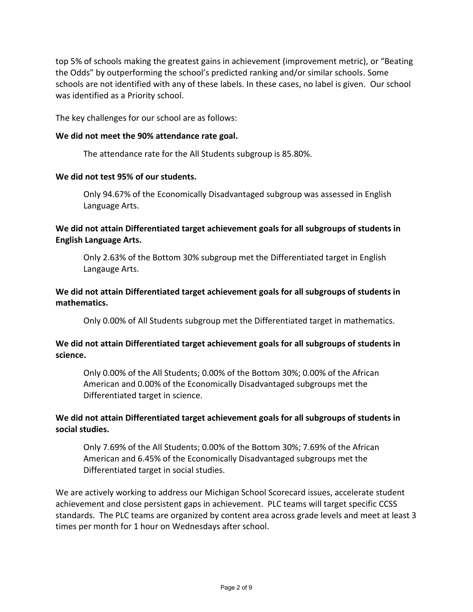top 5% of schools making the greatest gains in achievement (improvement metric), or "Beating the Odds" by outperforming the school's predicted ranking and/or similar schools. Some schools are not identified with any of these labels. In these cases, no label is given. Our school was identified as a Priority school.

The key challenges for our school are as follows:

#### **We did not meet the 90% attendance rate goal.**

The attendance rate for the All Students subgroup is 85.80%.

#### **We did not test 95% of our students.**

Only 94.67% of the Economically Disadvantaged subgroup was assessed in English Language Arts.

## **We did not attain Differentiated target achievement goals for all subgroups of students in English Language Arts.**

Only 2.63% of the Bottom 30% subgroup met the Differentiated target in English Langauge Arts.

## **We did not attain Differentiated target achievement goals for all subgroups of students in mathematics.**

Only 0.00% of All Students subgroup met the Differentiated target in mathematics.

## **We did not attain Differentiated target achievement goals for all subgroups of students in science.**

Only 0.00% of the All Students; 0.00% of the Bottom 30%; 0.00% of the African American and 0.00% of the Economically Disadvantaged subgroups met the Differentiated target in science.

## **We did not attain Differentiated target achievement goals for all subgroups of students in social studies.**

Only 7.69% of the All Students; 0.00% of the Bottom 30%; 7.69% of the African American and 6.45% of the Economically Disadvantaged subgroups met the Differentiated target in social studies.

We are actively working to address our Michigan School Scorecard issues, accelerate student achievement and close persistent gaps in achievement. PLC teams will target specific CCSS standards. The PLC teams are organized by content area across grade levels and meet at least 3 times per month for 1 hour on Wednesdays after school.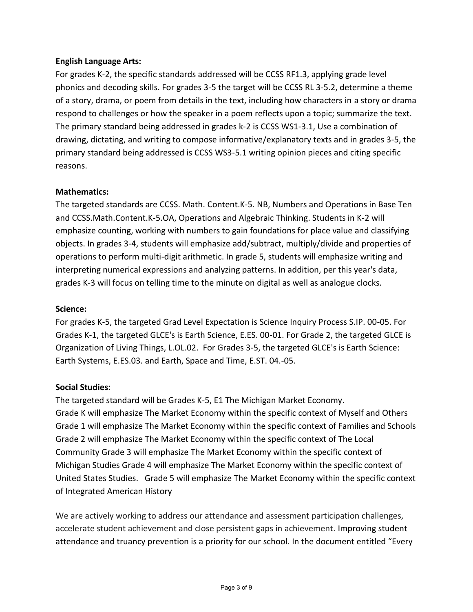#### **English Language Arts:**

For grades K-2, the specific standards addressed will be CCSS RF1.3, applying grade level phonics and decoding skills. For grades 3-5 the target will be CCSS RL 3-5.2, determine a theme of a story, drama, or poem from details in the text, including how characters in a story or drama respond to challenges or how the speaker in a poem reflects upon a topic; summarize the text. The primary standard being addressed in grades k-2 is CCSS WS1-3.1, Use a combination of drawing, dictating, and writing to compose informative/explanatory texts and in grades 3-5, the primary standard being addressed is CCSS WS3-5.1 writing opinion pieces and citing specific reasons.

#### **Mathematics:**

The targeted standards are CCSS. Math. Content.K-5. NB, Numbers and Operations in Base Ten and CCSS.Math.Content.K-5.OA, Operations and Algebraic Thinking. Students in K-2 will emphasize counting, working with numbers to gain foundations for place value and classifying objects. In grades 3-4, students will emphasize add/subtract, multiply/divide and properties of operations to perform multi-digit arithmetic. In grade 5, students will emphasize writing and interpreting numerical expressions and analyzing patterns. In addition, per this year's data, grades K-3 will focus on telling time to the minute on digital as well as analogue clocks.

#### **Science:**

For grades K-5, the targeted Grad Level Expectation is Science Inquiry Process S.IP. 00-05. For Grades K-1, the targeted GLCE's is Earth Science, E.ES. 00-01. For Grade 2, the targeted GLCE is Organization of Living Things, L.OL.02. For Grades 3-5, the targeted GLCE's is Earth Science: Earth Systems, E.ES.03. and Earth, Space and Time, E.ST. 04.-05.

## **Social Studies:**

The targeted standard will be Grades K-5, E1 The Michigan Market Economy. Grade K will emphasize The Market Economy within the specific context of Myself and Others Grade 1 will emphasize The Market Economy within the specific context of Families and Schools Grade 2 will emphasize The Market Economy within the specific context of The Local Community Grade 3 will emphasize The Market Economy within the specific context of Michigan Studies Grade 4 will emphasize The Market Economy within the specific context of United States Studies. Grade 5 will emphasize The Market Economy within the specific context of Integrated American History

We are actively working to address our attendance and assessment participation challenges, accelerate student achievement and close persistent gaps in achievement. Improving student attendance and truancy prevention is a priority for our school. In the document entitled "Every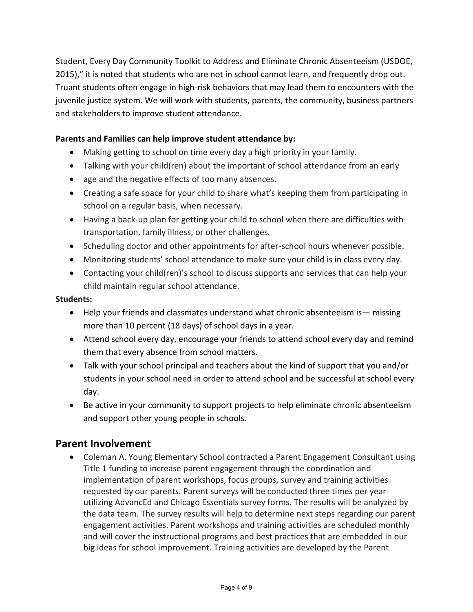Student, Every Day Community Toolkit to Address and Eliminate Chronic Absenteeism (USDOE, 2015)," it is noted that students who are not in school cannot learn, and frequently drop out. Truant students often engage in high-risk behaviors that may lead them to encounters with the juvenile justice system. We will work with students, parents, the community, business partners and stakeholders to improve student attendance.

#### **Parents and Families can help improve student attendance by:**

- Making getting to school on time every day a high priority in your family.
- Talking with your child(ren) about the important of school attendance from an early
- age and the negative effects of too many absences.
- Creating a safe space for your child to share what's keeping them from participating in school on a regular basis, when necessary.
- Having a back-up plan for getting your child to school when there are difficulties with transportation, family illness, or other challenges.
- Scheduling doctor and other appointments for after-school hours whenever possible.
- Monitoring students' school attendance to make sure your child is in class every day.
- Contacting your child(ren)'s school to discuss supports and services that can help your child maintain regular school attendance.

#### **Students:**

- Help your friends and classmates understand what chronic absenteeism is— missing more than 10 percent (18 days) of school days in a year.
- Attend school every day, encourage your friends to attend school every day and remind them that every absence from school matters.
- Talk with your school principal and teachers about the kind of support that you and/or students in your school need in order to attend school and be successful at school every day.
- Be active in your community to support projects to help eliminate chronic absenteeism and support other young people in schools.

## **Parent Involvement**

 Coleman A. Young Elementary School contracted a Parent Engagement Consultant using Title 1 funding to increase parent engagement through the coordination and implementation of parent workshops, focus groups, survey and training activities requested by our parents. Parent surveys will be conducted three times per year utilizing AdvancEd and Chicago Essentials survey forms. The results will be analyzed by the data team. The survey results will help to determine next steps regarding our parent engagement activities. Parent workshops and training activities are scheduled monthly and will cover the instructional programs and best practices that are embedded in our big ideas for school improvement. Training activities are developed by the Parent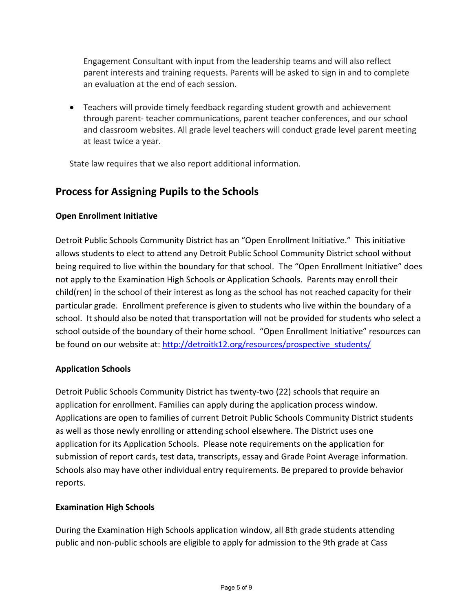Engagement Consultant with input from the leadership teams and will also reflect parent interests and training requests. Parents will be asked to sign in and to complete an evaluation at the end of each session.

 Teachers will provide timely feedback regarding student growth and achievement through parent- teacher communications, parent teacher conferences, and our school and classroom websites. All grade level teachers will conduct grade level parent meeting at least twice a year.

State law requires that we also report additional information.

## **Process for Assigning Pupils to the Schools**

#### **Open Enrollment Initiative**

Detroit Public Schools Community District has an "Open Enrollment Initiative." This initiative allows students to elect to attend any Detroit Public School Community District school without being required to live within the boundary for that school. The "Open Enrollment Initiative" does not apply to the Examination High Schools or Application Schools. Parents may enroll their child(ren) in the school of their interest as long as the school has not reached capacity for their particular grade. Enrollment preference is given to students who live within the boundary of a school. It should also be noted that transportation will not be provided for students who select a school outside of the boundary of their home school. "Open Enrollment Initiative" resources can be found on our website at: [http://detroitk12.org/resources/prospective\\_students/](http://detroitk12.org/resources/prospective_students/)

## **Application Schools**

Detroit Public Schools Community District has twenty-two (22) schools that require an application for enrollment. Families can apply during the application process window. Applications are open to families of current Detroit Public Schools Community District students as well as those newly enrolling or attending school elsewhere. The District uses one application for its Application Schools. Please note requirements on the application for submission of report cards, test data, transcripts, essay and Grade Point Average information. Schools also may have other individual entry requirements. Be prepared to provide behavior reports.

#### **Examination High Schools**

During the Examination High Schools application window, all 8th grade students attending public and non-public schools are eligible to apply for admission to the 9th grade at Cass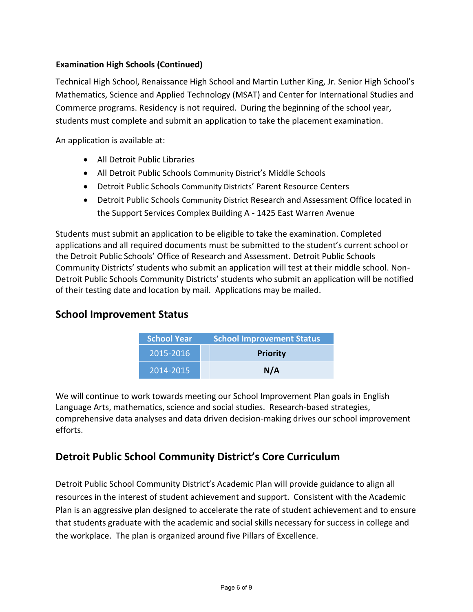## **Examination High Schools (Continued)**

Technical High School, Renaissance High School and Martin Luther King, Jr. Senior High School's Mathematics, Science and Applied Technology (MSAT) and Center for International Studies and Commerce programs. Residency is not required. During the beginning of the school year, students must complete and submit an application to take the placement examination.

An application is available at:

- All Detroit Public Libraries
- All Detroit Public Schools Community District's Middle Schools
- Detroit Public Schools Community Districts' Parent Resource Centers
- Detroit Public Schools Community District Research and Assessment Office located in the Support Services Complex Building A - 1425 East Warren Avenue

Students must submit an application to be eligible to take the examination. Completed applications and all required documents must be submitted to the student's current school or the Detroit Public Schools' Office of Research and Assessment. Detroit Public Schools Community Districts' students who submit an application will test at their middle school. Non-Detroit Public Schools Community Districts' students who submit an application will be notified of their testing date and location by mail. Applications may be mailed.

## **School Improvement Status**

| <b>School Year</b> | <b>School Improvement Status</b> |  |
|--------------------|----------------------------------|--|
| 2015-2016          | Priority                         |  |
| 2014-2015          | N/A                              |  |

We will continue to work towards meeting our School Improvement Plan goals in English Language Arts, mathematics, science and social studies. Research-based strategies, comprehensive data analyses and data driven decision-making drives our school improvement efforts.

# **Detroit Public School Community District's Core Curriculum**

Detroit Public School Community District's Academic Plan will provide guidance to align all resources in the interest of student achievement and support. Consistent with the Academic Plan is an aggressive plan designed to accelerate the rate of student achievement and to ensure that students graduate with the academic and social skills necessary for success in college and the workplace. The plan is organized around five Pillars of Excellence.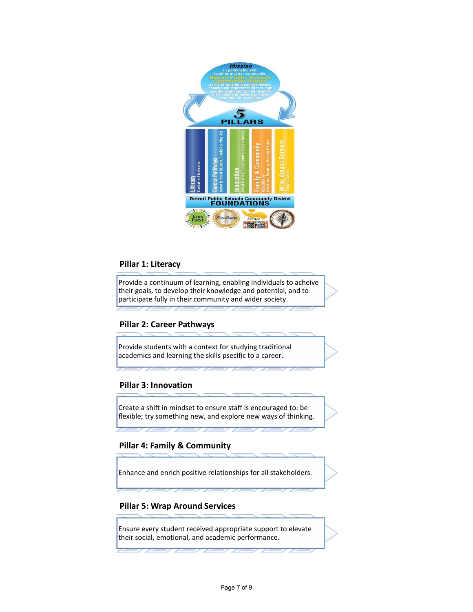

#### **Pillar 1: Literacy**

Provide a continuum of learning, enabling individuals to acheive their goals, to develop their knowledge and potential, and to participate fully in their community and wider society.

#### **Pillar 2: Career Pathways**

Provide students with a context for studying traditional academics and learning the skills psecific to a career.

#### **Pillar 3: Innovation**

Create a shift in mindset to ensure staff is encouraged to: be flexible; try something new, and explore new ways of thinking.

#### **Pillar 4: Family & Community**

Enhance and enrich positive relationships for all stakeholders.

#### **Pillar 5: Wrap Around Services**

Ensure every student received appropriate support to elevate their social, emotional, and academic performance.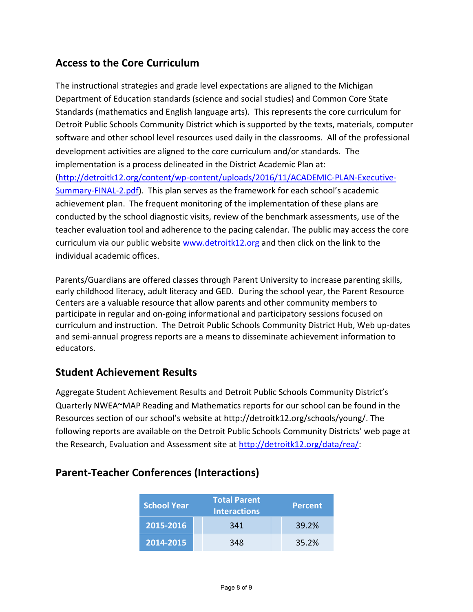# **Access to the Core Curriculum**

The instructional strategies and grade level expectations are aligned to the Michigan Department of Education standards (science and social studies) and Common Core State Standards (mathematics and English language arts). This represents the core curriculum for Detroit Public Schools Community District which is supported by the texts, materials, computer software and other school level resources used daily in the classrooms. All of the professional development activities are aligned to the core curriculum and/or standards. The implementation is a process delineated in the District Academic Plan at: [\(http://detroitk12.org/content/wp-content/uploads/2016/11/ACADEMIC-PLAN-Executive-](http://detroitk12.org/content/wp-content/uploads/2016/11/ACADEMIC-PLAN-Executive-Summary-FINAL-2.pdf)[Summary-FINAL-2.pdf](http://detroitk12.org/content/wp-content/uploads/2016/11/ACADEMIC-PLAN-Executive-Summary-FINAL-2.pdf)). This plan serves as the framework for each school's academic achievement plan. The frequent monitoring of the implementation of these plans are conducted by the school diagnostic visits, review of the benchmark assessments, use of the teacher evaluation tool and adherence to the pacing calendar. The public may access the core curriculum via our public website [www.detroitk12.org](http://www.detroitk12.org/) and then click on the link to the individual academic offices.

Parents/Guardians are offered classes through Parent University to increase parenting skills, early childhood literacy, adult literacy and GED. During the school year, the Parent Resource Centers are a valuable resource that allow parents and other community members to participate in regular and on-going informational and participatory sessions focused on curriculum and instruction. The Detroit Public Schools Community District Hub, Web up-dates and semi-annual progress reports are a means to disseminate achievement information to educators.

## **Student Achievement Results**

Aggregate Student Achievement Results and Detroit Public Schools Community District's Quarterly NWEA~MAP Reading and Mathematics reports for our school can be found in the Resources section of our school's website at http://detroitk12.org/schools/young/. The following reports are available on the Detroit Public Schools Community Districts' web page at the Research, Evaluation and Assessment site at [http://detroitk12.org/data/rea/:](http://detroitk12.org/data/rea/)

| <b>School Year</b> | <b>Total Parent</b><br><b>Interactions</b> | <b>Percent</b> |
|--------------------|--------------------------------------------|----------------|
| 2015-2016          | 341                                        | 39.2%          |
| 2014-2015          | 348                                        | 35.2%          |

# **Parent-Teacher Conferences (Interactions)**